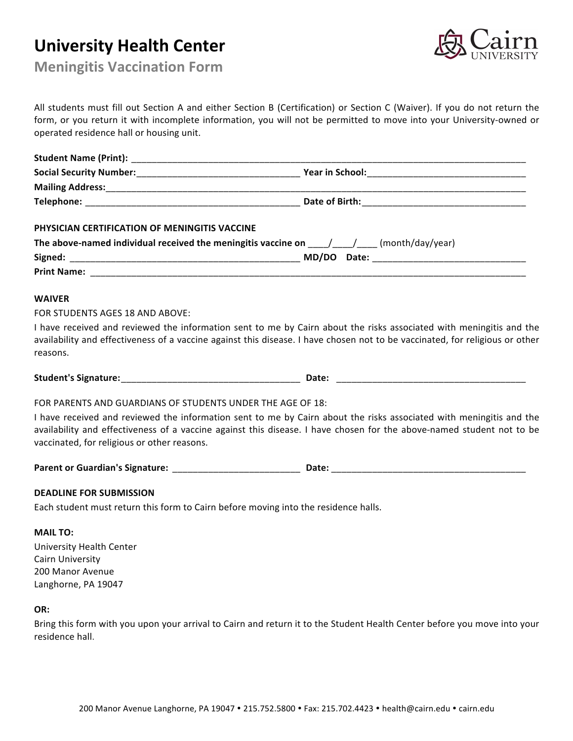# **University\*Health Center**



**Meningitis Vaccination Form** 

All students must fill out Section A and either Section B (Certification) or Section C (Waiver). If you do not return the form, or you return it with incomplete information, you will not be permitted to move into your University-owned or operated residence hall or housing unit.

| <b>Student Name (Print):</b>   |                        |  |
|--------------------------------|------------------------|--|
| <b>Social Security Number:</b> | <b>Year in School:</b> |  |
| <b>Mailing Address:</b>        |                        |  |
| Telephone:                     | Date of Birth:         |  |
|                                |                        |  |

### PHYSICIAN CERTIFICATION OF MENINGITIS VACCINE

| The above-named individual received the meningitis vaccine on |       |       | (month/day/year) |
|---------------------------------------------------------------|-------|-------|------------------|
| Signed:                                                       | MD/DO | Date: |                  |
| <b>Print Name:</b>                                            |       |       |                  |

#### **WAIVER**

FOR STUDENTS AGES 18 AND ABOVE:

I have received and reviewed the information sent to me by Cairn about the risks associated with meningitis and the availability and effectiveness of a vaccine against this disease. I have chosen not to be vaccinated, for religious or other reasons.

**Student's\*Signature:**\_\_\_\_\_\_\_\_\_\_\_\_\_\_\_\_\_\_\_\_\_\_\_\_\_\_\_\_\_\_\_\_\_\_\_ **Date:** \_\_\_\_\_\_\_\_\_\_\_\_\_\_\_\_\_\_\_\_\_\_\_\_\_\_\_\_\_\_\_\_\_\_\_\_\_

FOR PARENTS AND GUARDIANS OF STUDENTS UNDER THE AGE OF 18:

I have received and reviewed the information sent to me by Cairn about the risks associated with meningitis and the availability and effectiveness of a vaccine against this disease. I have chosen for the above-named student not to be vaccinated, for religious or other reasons.

Parent or Guardian's Signature: \_\_\_\_\_\_\_\_\_\_\_\_\_\_\_\_\_\_\_\_\_\_\_\_\_\_\_\_\_\_\_\_\_Date: \_\_\_\_\_\_\_\_\_\_

#### **DEADLINE FOR SUBMISSION**

Each student must return this form to Cairn before moving into the residence halls.

#### **MAIL\*TO:**

University Health Center Cairn University 200 Manor Avenue Langhorne, PA 19047

#### **OR:**

Bring this form with you upon your arrival to Cairn and return it to the Student Health Center before you move into your residence hall.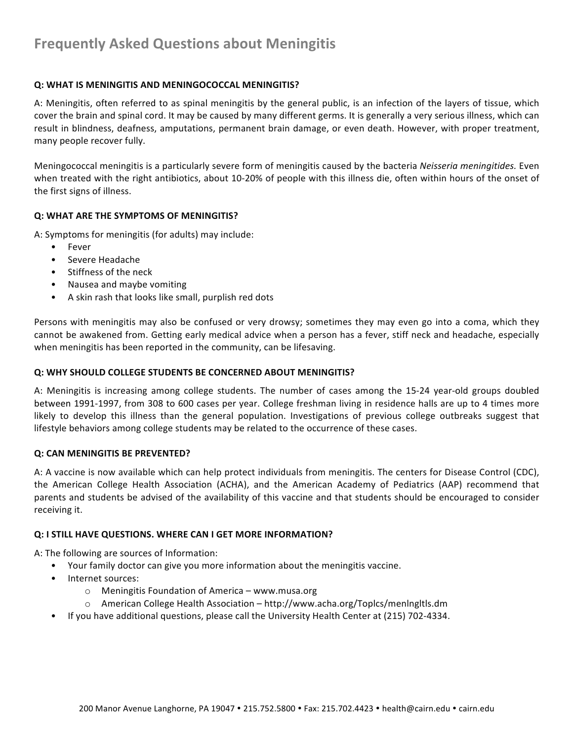## **Frequently Asked Questions about Meningitis**

#### **Q: WHAT IS MENINGITIS AND MENINGOCOCCAL MENINGITIS?**

A: Meningitis, often referred to as spinal meningitis by the general public, is an infection of the layers of tissue, which cover the brain and spinal cord. It may be caused by many different germs. It is generally a very serious illness, which can result in blindness, deafness, amputations, permanent brain damage, or even death. However, with proper treatment, many people recover fully.

Meningococcal meningitis is a particularly severe form of meningitis caused by the bacteria *Neisseria meningitides*. Even when treated with the right antibiotics, about 10-20% of people with this illness die, often within hours of the onset of the first signs of illness.

#### **Q: WHAT ARE THE SYMPTOMS OF MENINGITIS?**

A: Symptoms for meningitis (for adults) may include:

- Fever
- Severe Headache
- Stiffness of the neck
- Nausea and maybe vomiting
- A skin rash that looks like small, purplish red dots

Persons with meningitis may also be confused or very drowsy; sometimes they may even go into a coma, which they cannot be awakened from. Getting early medical advice when a person has a fever, stiff neck and headache, especially when meningitis has been reported in the community, can be lifesaving.

#### **Q: WHY SHOULD COLLEGE STUDENTS BE CONCERNED ABOUT MENINGITIS?**

A: Meningitis is increasing among college students. The number of cases among the 15-24 year-old groups doubled between 1991-1997, from 308 to 600 cases per year. College freshman living in residence halls are up to 4 times more likely to develop this illness than the general population. Investigations of previous college outbreaks suggest that lifestyle behaviors among college students may be related to the occurrence of these cases.

#### **Q: CAN MENINGITIS BE PREVENTED?**

A: A vaccine is now available which can help protect individuals from meningitis. The centers for Disease Control (CDC), the American College Health Association (ACHA), and the American Academy of Pediatrics (AAP) recommend that parents and students be advised of the availability of this vaccine and that students should be encouraged to consider receiving it.

#### **Q: I STILL HAVE QUESTIONS. WHERE CAN I GET MORE INFORMATION?**

A: The following are sources of Information:

- Your family doctor can give you more information about the meningitis vaccine.
- Internet sources:
	- $\circ$  Meningitis Foundation of America www.musa.org
	- $\circ$  American College Health Association http://www.acha.org/Toplcs/menlngltls.dm
- If you have additional questions, please call the University Health Center at (215) 702-4334.